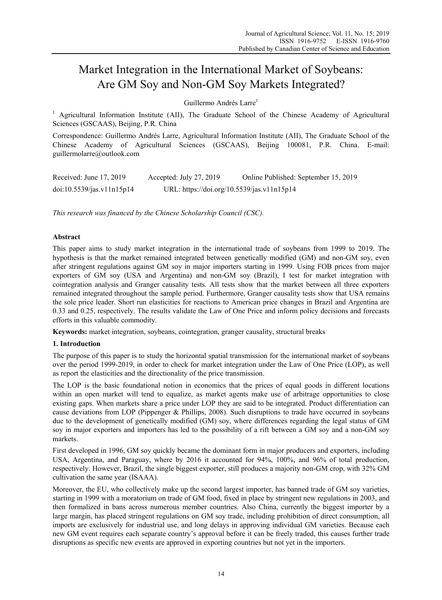# Market Integration in the International Market of Soybeans: Are GM Soy and Non-GM Soy Markets Integrated?

Guillermo Andrés Larre<sup>1</sup>

<sup>1</sup> Agricultural Information Institute (AII), The Graduate School of the Chinese Academy of Agricultural Sciences (GSCAAS), Beijing, P.R. China

Correspondence: Guillermo Andrés Larre, Agricultural Information Institute (AII), The Graduate School of the Chinese Academy of Agricultural Sciences (GSCAAS), Beijing 100081, P.R. China. E-mail: guillermolarre@outlook.com

| Received: June 17, 2019   | Accepted: July 27, 2019                    | Online Published: September 15, 2019 |
|---------------------------|--------------------------------------------|--------------------------------------|
| doi:10.5539/jas.v11n15p14 | URL: https://doi.org/10.5539/jas.v11n15p14 |                                      |

*This research was financed by the Chinese Scholarship Council (CSC).*

# **Abstract**

This paper aims to study market integration in the international trade of soybeans from 1999 to 2019. The hypothesis is that the market remained integrated between genetically modified (GM) and non-GM soy, even after stringent regulations against GM soy in major importers starting in 1999. Using FOB prices from major exporters of GM soy (USA and Argentina) and non-GM soy (Brazil), I test for market integration with cointegration analysis and Granger causality tests. All tests show that the market between all three exporters remained integrated throughout the sample period. Furthermore, Granger causality tests show that USA remains the sole price leader. Short run elasticities for reactions to American price changes in Brazil and Argentina are 0.33 and 0.25, respectively. The results validate the Law of One Price and inform policy decisions and forecasts efforts in this valuable commodity.

**Keywords:** market integration, soybeans, cointegration, granger causality, structural breaks

# **1. Introduction**

The purpose of this paper is to study the horizontal spatial transmission for the international market of soybeans over the period 1999-2019, in order to check for market integration under the Law of One Price (LOP), as well as report the elasticities and the directionality of the price transmission.

The LOP is the basic foundational notion in economics that the prices of equal goods in different locations within an open market will tend to equalize, as market agents make use of arbitrage opportunities to close existing gaps. When markets share a price under LOP they are said to be integrated. Product differentiation can cause deviations from LOP (Pippenger & Phillips, 2008). Such disruptions to trade have occurred in soybeans due to the development of genetically modified (GM) soy, where differences regarding the legal status of GM soy in major exporters and importers has led to the possibility of a rift between a GM soy and a non-GM soy markets.

First developed in 1996, GM soy quickly became the dominant form in major producers and exporters, including USA, Argentina, and Paraguay, where by 2016 it accounted for 94%, 100%, and 96% of total production, respectively. However, Brazil, the single biggest exporter, still produces a majority non-GM crop, with 32% GM cultivation the same year (ISAAA).

Moreover, the EU, who collectively make up the second largest importer, has banned trade of GM soy varieties, starting in 1999 with a moratorium on trade of GM food, fixed in place by stringent new regulations in 2003, and then formalized in bans across numerous member countries. Also China, currently the biggest importer by a large margin, has placed stringent regulations on GM soy trade, including prohibition of direct consumption, all imports are exclusively for industrial use, and long delays in approving individual GM varieties. Because each new GM event requires each separate country's approval before it can be freely traded, this causes further trade disruptions as specific new events are approved in exporting countries but not yet in the importers.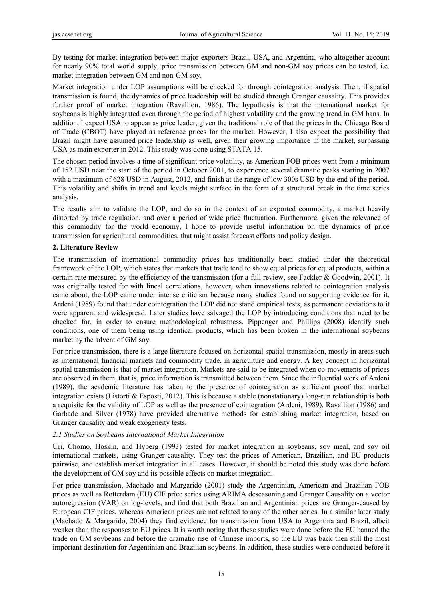By testing for market integration between major exporters Brazil, USA, and Argentina, who altogether account for nearly 90% total world supply, price transmission between GM and non-GM soy prices can be tested, i.e. market integration between GM and non-GM soy.

Market integration under LOP assumptions will be checked for through cointegration analysis. Then, if spatial transmission is found, the dynamics of price leadership will be studied through Granger causality. This provides further proof of market integration (Ravallion, 1986). The hypothesis is that the international market for soybeans is highly integrated even through the period of highest volatility and the growing trend in GM bans. In addition, I expect USA to appear as price leader, given the traditional role of that the prices in the Chicago Board of Trade (CBOT) have played as reference prices for the market. However, I also expect the possibility that Brazil might have assumed price leadership as well, given their growing importance in the market, surpassing USA as main exporter in 2012. This study was done using STATA 15.

The chosen period involves a time of significant price volatility, as American FOB prices went from a minimum of 152 USD near the start of the period in October 2001, to experience several dramatic peaks starting in 2007 with a maximum of 628 USD in August, 2012, and finish at the range of low 300s USD by the end of the period. This volatility and shifts in trend and levels might surface in the form of a structural break in the time series analysis.

The results aim to validate the LOP, and do so in the context of an exported commodity, a market heavily distorted by trade regulation, and over a period of wide price fluctuation. Furthermore, given the relevance of this commodity for the world economy, I hope to provide useful information on the dynamics of price transmission for agricultural commodities, that might assist forecast efforts and policy design.

# **2. Literature Review**

The transmission of international commodity prices has traditionally been studied under the theoretical framework of the LOP, which states that markets that trade tend to show equal prices for equal products, within a certain rate measured by the efficiency of the transmission (for a full review, see Fackler & Goodwin, 2001). It was originally tested for with lineal correlations, however, when innovations related to cointegration analysis came about, the LOP came under intense criticism because many studies found no supporting evidence for it. Ardeni (1989) found that under cointegration the LOP did not stand empirical tests, as permanent deviations to it were apparent and widespread. Later studies have salvaged the LOP by introducing conditions that need to be checked for, in order to ensure methodological robustness. Pippenger and Phillips (2008) identify such conditions, one of them being using identical products, which has been broken in the international soybeans market by the advent of GM soy.

For price transmission, there is a large literature focused on horizontal spatial transmission, mostly in areas such as international financial markets and commodity trade, in agriculture and energy. A key concept in horizontal spatial transmission is that of market integration. Markets are said to be integrated when co-movements of prices are observed in them, that is, price information is transmitted between them. Since the influential work of Ardeni (1989), the academic literature has taken to the presence of cointegration as sufficient proof that market integration exists (Listorti & Esposti, 2012). This is because a stable (nonstationary) long-run relationship is both a requisite for the validity of LOP as well as the presence of cointegration (Ardeni, 1989). Ravallion (1986) and Garbade and Silver (1978) have provided alternative methods for establishing market integration, based on Granger causality and weak exogeneity tests.

# *2.1 Studies on Soybeans International Market Integration*

Uri, Chomo, Hoskin, and Hyberg (1993) tested for market integration in soybeans, soy meal, and soy oil international markets, using Granger causality. They test the prices of American, Brazilian, and EU products pairwise, and establish market integration in all cases. However, it should be noted this study was done before the development of GM soy and its possible effects on market integration.

For price transmission, Machado and Margarido (2001) study the Argentinian, American and Brazilian FOB prices as well as Rotterdam (EU) CIF price series using ARIMA deseasoning and Granger Causality on a vector autoregression (VAR) on log-levels, and find that both Brazilian and Argentinian prices are Granger-caused by European CIF prices, whereas American prices are not related to any of the other series. In a similar later study (Machado & Margarido, 2004) they find evidence for transmission from USA to Argentina and Brazil, albeit weaker than the responses to EU prices. It is worth noting that these studies were done before the EU banned the trade on GM soybeans and before the dramatic rise of Chinese imports, so the EU was back then still the most important destination for Argentinian and Brazilian soybeans. In addition, these studies were conducted before it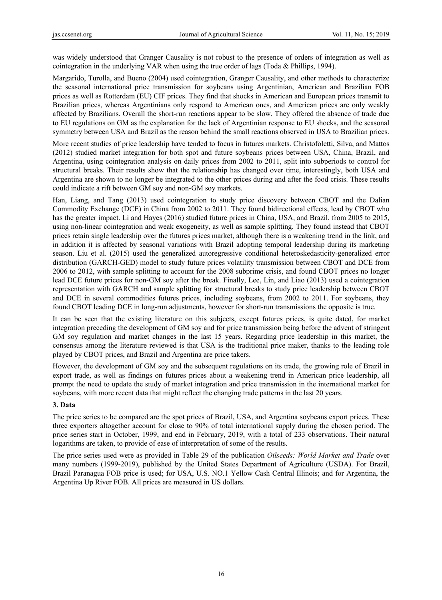was widely understood that Granger Causality is not robust to the presence of orders of integration as well as cointegration in the underlying VAR when using the true order of lags (Toda & Phillips, 1994).

Margarido, Turolla, and Bueno (2004) used cointegration, Granger Causality, and other methods to characterize the seasonal international price transmission for soybeans using Argentinian, American and Brazilian FOB prices as well as Rotterdam (EU) CIF prices. They find that shocks in American and European prices transmit to Brazilian prices, whereas Argentinians only respond to American ones, and American prices are only weakly affected by Brazilians. Overall the short-run reactions appear to be slow. They offered the absence of trade due to EU regulations on GM as the explanation for the lack of Argentinian response to EU shocks, and the seasonal symmetry between USA and Brazil as the reason behind the small reactions observed in USA to Brazilian prices.

More recent studies of price leadership have tended to focus in futures markets. Christofoletti, Silva, and Mattos (2012) studied market integration for both spot and future soybeans prices between USA, China, Brazil, and Argentina, using cointegration analysis on daily prices from 2002 to 2011, split into subperiods to control for structural breaks. Their results show that the relationship has changed over time, interestingly, both USA and Argentina are shown to no longer be integrated to the other prices during and after the food crisis. These results could indicate a rift between GM soy and non-GM soy markets.

Han, Liang, and Tang (2013) used cointegration to study price discovery between CBOT and the Dalian Commodity Exchange (DCE) in China from 2002 to 2011. They found bidirectional effects, lead by CBOT who has the greater impact. Li and Hayes (2016) studied future prices in China, USA, and Brazil, from 2005 to 2015, using non-linear cointegration and weak exogeneity, as well as sample splitting. They found instead that CBOT prices retain single leadership over the futures prices market, although there is a weakening trend in the link, and in addition it is affected by seasonal variations with Brazil adopting temporal leadership during its marketing season. Liu et al. (2015) used the generalized autoregressive conditional heteroskedasticity-generalized error distribution (GARCH-GED) model to study future prices volatility transmission between CBOT and DCE from 2006 to 2012, with sample splitting to account for the 2008 subprime crisis, and found CBOT prices no longer lead DCE future prices for non-GM soy after the break. Finally, Lee, Lin, and Liao (2013) used a cointegration representation with GARCH and sample splitting for structural breaks to study price leadership between CBOT and DCE in several commodities futures prices, including soybeans, from 2002 to 2011. For soybeans, they found CBOT leading DCE in long-run adjustments, however for short-run transmissions the opposite is true.

It can be seen that the existing literature on this subjects, except futures prices, is quite dated, for market integration preceding the development of GM soy and for price transmission being before the advent of stringent GM soy regulation and market changes in the last 15 years. Regarding price leadership in this market, the consensus among the literature reviewed is that USA is the traditional price maker, thanks to the leading role played by CBOT prices, and Brazil and Argentina are price takers.

However, the development of GM soy and the subsequent regulations on its trade, the growing role of Brazil in export trade, as well as findings on futures prices about a weakening trend in American price leadership, all prompt the need to update the study of market integration and price transmission in the international market for soybeans, with more recent data that might reflect the changing trade patterns in the last 20 years.

# **3. Data**

The price series to be compared are the spot prices of Brazil, USA, and Argentina soybeans export prices. These three exporters altogether account for close to 90% of total international supply during the chosen period. The price series start in October, 1999, and end in February, 2019, with a total of 233 observations. Their natural logarithms are taken, to provide of ease of interpretation of some of the results.

The price series used were as provided in Table 29 of the publication *Oilseeds: World Market and Trade* over many numbers (1999-2019), published by the United States Department of Agriculture (USDA). For Brazil, Brazil Paranagua FOB price is used; for USA, U.S. NO.1 Yellow Cash Central Illinois; and for Argentina, the Argentina Up River FOB. All prices are measured in US dollars.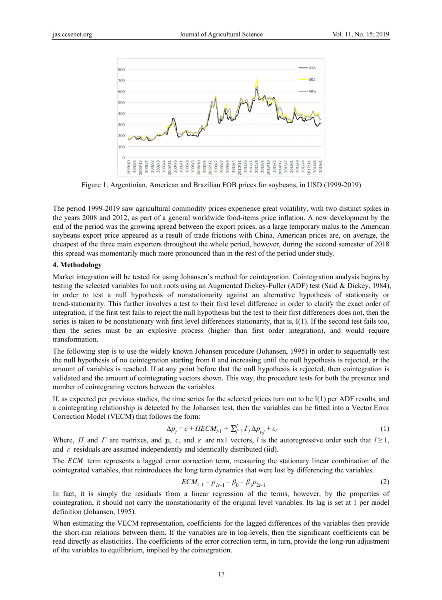

Figure 1. Argentinian, American and Brazilian FOB prices for soybeans, in USD (1999-2019)

The period 1999-2019 saw agricultural commodity prices experience great volatility, with two distinct spikes in the years 2008 and 2012, as part of a general worldwide food-items price inflation. A new development by the end of the period was the growing spread between the export prices, as a large temporary malus to the American soybeans export price appeared as a result of trade frictions with China. American prices are, on average, the cheapest of the three main exporters throughout the whole period, however, during the second semester of 2018 this spread was momentarily much more pronounced than in the rest of the period under study.

### **4. Method dology**

Market integration will be tested for using Johansen's method for cointegration. Cointegration analysis begins by testing the selected variables for unit roots using an Augmented Dickey-Fuller (ADF) test (Said & Dickey, 1984), in order to test a null hypothesis of nonstationarity against an alternative hypothesis of stationarity or trend-stationarity. This further involves a test to their first level difference in order to clarify the exact order of integration, if the first test fails to reject the null hypothesis but the test to their first differences does not, then the series is taken to be nonstationary with first level differences stationarity, that is, I(1). If the second test fails too, then the series must be an explosive process (higher than first order integration), and would require transformation.

The following step is to use the widely known Johansen procedure (Johansen, 1995) in order to sequentally test the null hypothesis of no cointegration starting from 0 and increasing until the null hypothesis is rejected, or the amount of variables is reached. If at any point before that the null hypothesis is rejected, then cointegration is validated and the amount of cointegrating vectors shown. This way, the procedure tests for both the presence and number of cointegrating vectors between the variables.

If, as expected per previous studies, the time series for the selected prices turn out to be  $I(1)$  per ADF results, and a cointegrating relationship is detected by the Johansen test, then the variables can be fitted into a Vector Error Correction Model (VECM) that follows the form:

$$
\Delta p_t = c + \Pi E C M_{t-1} + \sum_{j=1}^l \Gamma_j \Delta p_{t-j} + \varepsilon_t \tag{1}
$$

Where, *Π* and *Γ* are matrixes, and *p*, *c*, and  $\varepsilon$  are nx1 vectors, *l* is the autoregressive order such that  $l \ge 1$ , and  $\varepsilon$  residuals are assumed independently and identically distributed (iid). and  $\varepsilon$  residuals are assumed independently and identically distributed (iid).

The ECM term represents a lagged error correction term, measuring the stationary linear combination of the cointegrated variables, that reintroduces the long term dynamics that were lost by differencing the variables.

$$
ECM_{t-1} = p_{t-1} - \beta_0 - \beta_1 p_{2t-1}
$$
\n<sup>(2)</sup>

In fact, it is simply the residuals from a linear regression of the terms, however, by the properties of cointegration, it should not carry the nonstationarity of the original level variables. Its lag is set at 1 per model definition (Johansen, 199 95).

When estimating the VECM representation, coefficients for the lagged differences of the variables then provide the short-run relations between them. If the variables are in log-levels, then the significant coefficients can be read directly as elasticities. The coefficients of the error correction term, in turn, provide the long-run adjustment of the variables to equilibrium, implied by the cointegration.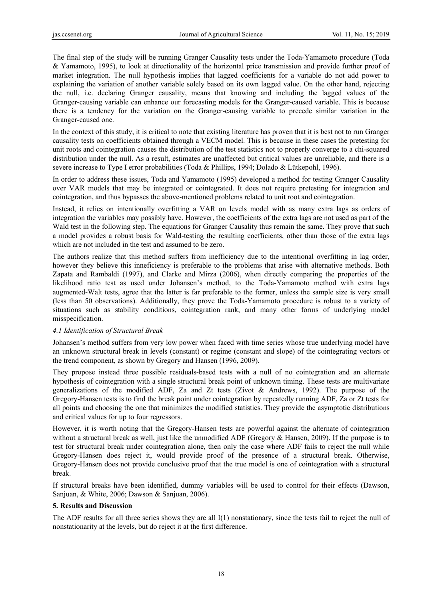The final step of the study will be running Granger Causality tests under the Toda-Yamamoto procedure (Toda & Yamamoto, 1995), to look at directionality of the horizontal price transmission and provide further proof of market integration. The null hypothesis implies that lagged coefficients for a variable do not add power to explaining the variation of another variable solely based on its own lagged value. On the other hand, rejecting the null, i.e. declaring Granger causality, means that knowing and including the lagged values of the Granger-causing variable can enhance our forecasting models for the Granger-caused variable. This is because there is a tendency for the variation on the Granger-causing variable to precede similar variation in the Granger-caused one.

In the context of this study, it is critical to note that existing literature has proven that it is best not to run Granger causality tests on coefficients obtained through a VECM model. This is because in these cases the pretesting for unit roots and cointegration causes the distribution of the test statistics not to properly converge to a chi-squared distribution under the null. As a result, estimates are unaffected but critical values are unreliable, and there is a severe increase to Type I error probabilities (Toda & Phillips, 1994; Dolado & Lütkepohl, 1996).

In order to address these issues, Toda and Yamamoto (1995) developed a method for testing Granger Causality over VAR models that may be integrated or cointegrated. It does not require pretesting for integration and cointegration, and thus bypasses the above-mentioned problems related to unit root and cointegration.

Instead, it relies on intentionally overfitting a VAR on levels model with as many extra lags as orders of integration the variables may possibly have. However, the coefficients of the extra lags are not used as part of the Wald test in the following step. The equations for Granger Causality thus remain the same. They prove that such a model provides a robust basis for Wald-testing the resulting coefficients, other than those of the extra lags which are not included in the test and assumed to be zero.

The authors realize that this method suffers from inefficiency due to the intentional overfitting in lag order, however they believe this inneficiency is preferable to the problems that arise with alternative methods. Both Zapata and Rambaldi (1997), and Clarke and Mirza (2006), when directly comparing the properties of the likelihood ratio test as used under Johansen's method, to the Toda-Yamamoto method with extra lags augmented-Walt tests, agree that the latter is far preferable to the former, unless the sample size is very small (less than 50 observations). Additionally, they prove the Toda-Yamamoto procedure is robust to a variety of situations such as stability conditions, cointegration rank, and many other forms of underlying model misspecification.

# *4.1 Identification of Structural Break*

Johansen's method suffers from very low power when faced with time series whose true underlying model have an unknown structural break in levels (constant) or regime (constant and slope) of the cointegrating vectors or the trend component, as shown by Gregory and Hansen (1996, 2009).

They propose instead three possible residuals-based tests with a null of no cointegration and an alternate hypothesis of cointegration with a single structural break point of unknown timing. These tests are multivariate generalizations of the modified ADF, Za and Zt tests (Zivot & Andrews, 1992). The purpose of the Gregory-Hansen tests is to find the break point under cointegration by repeatedly running ADF, Za or Zt tests for all points and choosing the one that minimizes the modified statistics. They provide the asymptotic distributions and critical values for up to four regressors.

However, it is worth noting that the Gregory-Hansen tests are powerful against the alternate of cointegration without a structural break as well, just like the unmodified ADF (Gregory & Hansen, 2009). If the purpose is to test for structural break under cointegration alone, then only the case where ADF fails to reject the null while Gregory-Hansen does reject it, would provide proof of the presence of a structural break. Otherwise, Gregory-Hansen does not provide conclusive proof that the true model is one of cointegration with a structural break.

If structural breaks have been identified, dummy variables will be used to control for their effects (Dawson, Sanjuan, & White, 2006; Dawson & Sanjuan, 2006).

# **5. Results and Discussion**

The ADF results for all three series shows they are all I(1) nonstationary, since the tests fail to reject the null of nonstationarity at the levels, but do reject it at the first difference.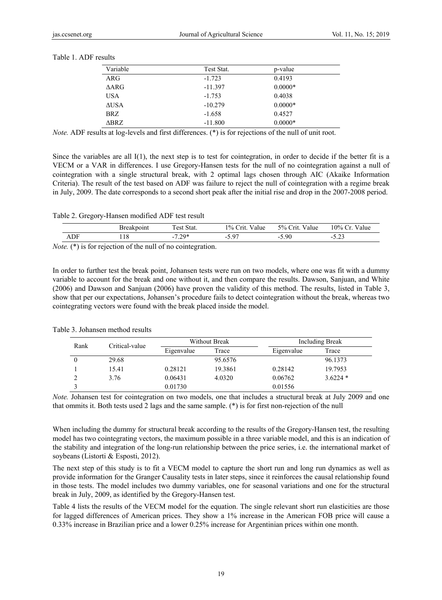| Variable    | Test Stat. | p-value   |  |
|-------------|------------|-----------|--|
| ARG         | $-1.723$   | 0.4193    |  |
| <b>AARG</b> | $-11.397$  | $0.0000*$ |  |
| <b>USA</b>  | $-1.753$   | 0.4038    |  |
| <b>AUSA</b> | $-10.279$  | $0.0000*$ |  |
| BRZ         | $-1.658$   | 0.4527    |  |
| ABRZ.       | $-11.800$  | $0.0000*$ |  |

Table 1. ADF results

*Note.* ADF results at log-levels and first differences. (\*) is for rejections of the null of unit root.

Since the variables are all  $I(1)$ , the next step is to test for cointegration, in order to decide if the better fit is a VECM or a VAR in differences. I use Gregory-Hansen tests for the null of no cointegration against a null of cointegration with a single structural break, with 2 optimal lags chosen through AIC (Akaike Information Criteria). The result of the test based on ADF was failure to reject the null of cointegration with a regime break in July, 2009. The date corresponds to a second short peak after the initial rise and drop in the 2007-2008 period.

Table 2. Gregory-Hansen modified ADF test result

|    |     | <b>Breakpoint</b> | Stat.<br>rest ' | 1% Crit.<br>Value | 5% Crit.<br>Value | $10\%$ Cr. Value |
|----|-----|-------------------|-----------------|-------------------|-------------------|------------------|
|    | ADF | 18                | $7.79*$<br>- 1  | .5 97             | 5.90              | ر ہے ۔           |
| __ |     | $\sim$ $\sim$     |                 |                   |                   |                  |

*Note.* (\*) is for rejection of the null of no cointegration.

In order to further test the break point, Johansen tests were run on two models, where one was fit with a dummy variable to account for the break and one without it, and then compare the results. Dawson, Sanjuan, and White (2006) and Dawson and Sanjuan (2006) have proven the validity of this method. The results, listed in Table 3, show that per our expectations, Johansen's procedure fails to detect cointegration without the break, whereas two cointegrating vectors were found with the break placed inside the model.

| Critical-value<br>Rank |       |            | <b>Without Break</b> |            | Including Break |  |
|------------------------|-------|------------|----------------------|------------|-----------------|--|
|                        |       | Eigenvalue | Trace                | Eigenvalue | Trace           |  |
|                        | 29.68 |            | 95.6576              |            | 96.1373         |  |
|                        | 15.41 | 0.28121    | 19.3861              | 0.28142    | 19.7953         |  |
|                        | 3.76  | 0.06431    | 4.0320               | 0.06762    | $3.6224*$       |  |
|                        |       | 0.01730    |                      | 0.01556    |                 |  |

Table 3. Johansen method results

*Note.* Johansen test for cointegration on two models, one that includes a structural break at July 2009 and one that ommits it. Both tests used 2 lags and the same sample. (\*) is for first non-rejection of the null

When including the dummy for structural break according to the results of the Gregory-Hansen test, the resulting model has two cointegrating vectors, the maximum possible in a three variable model, and this is an indication of the stability and integration of the long-run relationship between the price series, i.e. the international market of soybeans (Listorti & Esposti, 2012).

The next step of this study is to fit a VECM model to capture the short run and long run dynamics as well as provide information for the Granger Causality tests in later steps, since it reinforces the causal relationship found in those tests. The model includes two dummy variables, one for seasonal variations and one for the structural break in July, 2009, as identified by the Gregory-Hansen test.

Table 4 lists the results of the VECM model for the equation. The single relevant short run elasticities are those for lagged differences of American prices. They show a 1% increase in the American FOB price will cause a 0.33% increase in Brazilian price and a lower 0.25% increase for Argentinian prices within one month.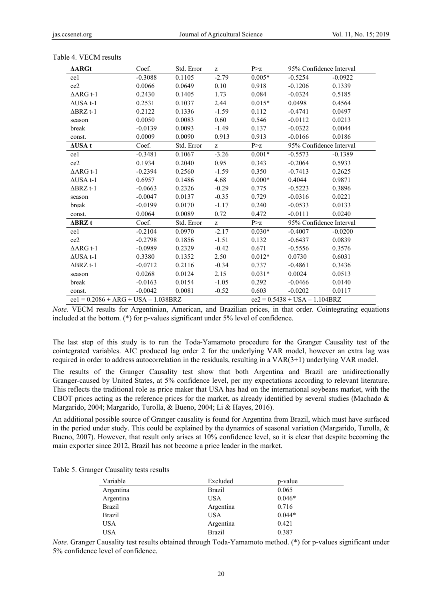| $\Delta ARGt$                          | Coef.     | Std. Error | z       | P > Z                            | 95% Confidence Interval |           |
|----------------------------------------|-----------|------------|---------|----------------------------------|-------------------------|-----------|
| ce1                                    | $-0.3088$ | 0.1105     | $-2.79$ | $0.005*$                         | $-0.5254$               | $-0.0922$ |
| ce2                                    | 0.0066    | 0.0649     | 0.10    | 0.918                            | $-0.1206$               | 0.1339    |
| $\triangle$ ARG t-1                    | 0.2430    | 0.1405     | 1.73    | 0.084                            | $-0.0324$               | 0.5185    |
| $\triangle$ USA t-1                    | 0.2531    | 0.1037     | 2.44    | $0.015*$                         | 0.0498                  | 0.4564    |
| $\triangle$ BRZ t-1                    | 0.2122    | 0.1336     | $-1.59$ | 0.112                            | $-0.4741$               | 0.0497    |
| season                                 | 0.0050    | 0.0083     | 0.60    | 0.546                            | $-0.0112$               | 0.0213    |
| break                                  | $-0.0139$ | 0.0093     | $-1.49$ | 0.137                            | $-0.0322$               | 0.0044    |
| const.                                 | 0.0009    | 0.0090     | 0.913   | 0.913                            | $-0.0166$               | 0.0186    |
| $\Delta$ USA t                         | Coef.     | Std. Error | z       | P > z                            | 95% Confidence Interval |           |
| ce1                                    | $-0.3481$ | 0.1067     | $-3.26$ | $0.001*$                         | $-0.5573$               | $-0.1389$ |
| ce2                                    | 0.1934    | 0.2040     | 0.95    | 0.343                            | $-0.2064$               | 0.5933    |
| $\triangle$ ARG t-1                    | $-0.2394$ | 0.2560     | $-1.59$ | 0.350                            | $-0.7413$               | 0.2625    |
| $\triangle$ USA t-1                    | 0.6957    | 0.1486     | 4.68    | $0.000*$                         | 0.4044                  | 0.9871    |
| $\triangle$ BRZ t-1                    | $-0.0663$ | 0.2326     | $-0.29$ | 0.775                            | $-0.5223$               | 0.3896    |
| season                                 | $-0.0047$ | 0.0137     | $-0.35$ | 0.729                            | $-0.0316$               | 0.0221    |
| break                                  | $-0.0199$ | 0.0170     | $-1.17$ | 0.240                            | $-0.0533$               | 0.0133    |
| const.                                 | 0.0064    | 0.0089     | 0.72    | 0.472                            | $-0.0111$               | 0.0240    |
| $\triangle$ BRZ t                      | Coef.     | Std. Error | z       | P > Z                            | 95% Confidence Interval |           |
| ce1                                    | $-0.2104$ | 0.0970     | $-2.17$ | $0.030*$                         | $-0.4007$               | $-0.0200$ |
| ce2                                    | $-0.2798$ | 0.1856     | $-1.51$ | 0.132                            | $-0.6437$               | 0.0839    |
| $\triangle$ ARG t-1                    | $-0.0989$ | 0.2329     | $-0.42$ | 0.671                            | $-0.5556$               | 0.3576    |
| $\triangle$ USA t-1                    | 0.3380    | 0.1352     | 2.50    | $0.012*$                         | 0.0730                  | 0.6031    |
| $\triangle$ BRZ t-1                    | $-0.0712$ | 0.2116     | $-0.34$ | 0.737                            | $-0.4861$               | 0.3436    |
| season                                 | 0.0268    | 0.0124     | 2.15    | $0.031*$                         | 0.0024                  | 0.0513    |
| break                                  | $-0.0163$ | 0.0154     | $-1.05$ | 0.292                            | $-0.0466$               | 0.0140    |
| const.                                 | $-0.0042$ | 0.0081     | $-0.52$ | 0.603                            | $-0.0202$               | 0.0117    |
| $ce1 = 0.2086 + ARG + USA - 1.038 BRZ$ |           |            |         | $ce2 = 0.5438 + USA - 1.104 BRZ$ |                         |           |

Table 4. VECM results

*Note.* VECM results for Argentinian, American, and Brazilian prices, in that order. Cointegrating equations included at the bottom. (\*) for p-values significant under 5% level of confidence.

The last step of this study is to run the Toda-Yamamoto procedure for the Granger Causality test of the cointegrated variables. AIC produced lag order 2 for the underlying VAR model, however an extra lag was required in order to address autocorrelation in the residuals, resulting in a VAR(3+1) underlying VAR model.

The results of the Granger Causality test show that both Argentina and Brazil are unidirectionally Granger-caused by United States, at 5% confidence level, per my expectations according to relevant literature. This reflects the traditional role as price maker that USA has had on the international soybeans market, with the CBOT prices acting as the reference prices for the market, as already identified by several studies (Machado  $\&$ Margarido, 2004; Margarido, Turolla, & Bueno, 2004; Li & Hayes, 2016).

An additional possible source of Granger causality is found for Argentina from Brazil, which must have surfaced in the period under study. This could be explained by the dynamics of seasonal variation (Margarido, Turolla,  $\&$ Bueno, 2007). However, that result only arises at 10% confidence level, so it is clear that despite becoming the main exporter since 2012, Brazil has not become a price leader in the market.

|  | Table 5. Granger Causality tests results |
|--|------------------------------------------|
|--|------------------------------------------|

| Variable   | Excluded      | p-value  |  |
|------------|---------------|----------|--|
| Argentina  | <b>Brazil</b> | 0.065    |  |
| Argentina  | <b>USA</b>    | $0.046*$ |  |
| Brazil     | Argentina     | 0.716    |  |
| Brazil     | <b>USA</b>    | $0.044*$ |  |
| <b>USA</b> | Argentina     | 0.421    |  |
| <b>USA</b> | <b>Brazil</b> | 0.387    |  |

*Note.* Granger Causality test results obtained through Toda-Yamamoto method. (\*) for p-values significant under 5% confidence level of confidence.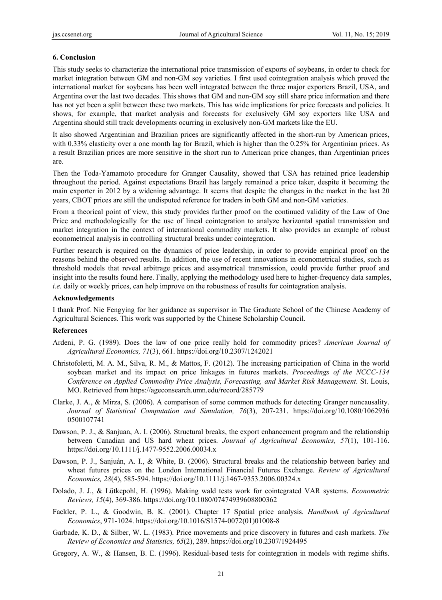#### **6. Conclusion**

This study seeks to characterize the international price transmission of exports of soybeans, in order to check for market integration between GM and non-GM soy varieties. I first used cointegration analysis which proved the international market for soybeans has been well integrated between the three major exporters Brazil, USA, and Argentina over the last two decades. This shows that GM and non-GM soy still share price information and there has not yet been a split between these two markets. This has wide implications for price forecasts and policies. It shows, for example, that market analysis and forecasts for exclusively GM soy exporters like USA and Argentina should still track developments ocurring in exclusively non-GM markets like the EU.

It also showed Argentinian and Brazilian prices are significantly affected in the short-run by American prices, with 0.33% elasticity over a one month lag for Brazil, which is higher than the 0.25% for Argentinian prices. As a result Brazilian prices are more sensitive in the short run to American price changes, than Argentinian prices are.

Then the Toda-Yamamoto procedure for Granger Causality, showed that USA has retained price leadership throughout the period. Against expectations Brazil has largely remained a price taker, despite it becoming the main exporter in 2012 by a widening advantage. It seems that despite the changes in the market in the last 20 years, CBOT prices are still the undisputed reference for traders in both GM and non-GM varieties.

From a theorical point of view, this study provides further proof on the continued validity of the Law of One Price and methodologically for the use of lineal cointegration to analyze horizontal spatial transmission and market integration in the context of international commodity markets. It also provides an example of robust econometrical analysis in controlling structural breaks under cointegration.

Further research is required on the dynamics of price leadership, in order to provide empirical proof on the reasons behind the observed results. In addition, the use of recent innovations in econometrical studies, such as threshold models that reveal arbitrage prices and assymetrical transmission, could provide further proof and insight into the results found here. Finally, applying the methodology used here to higher-frequency data samples, *i.e.* daily or weekly prices, can help improve on the robustness of results for cointegration analysis.

#### **Acknowledgements**

I thank Prof. Nie Fengying for her guidance as supervisor in The Graduate School of the Chinese Academy of Agricultural Sciences. This work was supported by the Chinese Scholarship Council.

#### **References**

- Ardeni, P. G. (1989). Does the law of one price really hold for commodity prices? *American Journal of Agricultural Economics, 71*(3), 661. https://doi.org/10.2307/1242021
- Christofoletti, M. A. M., Silva, R. M., & Mattos, F. (2012). The increasing participation of China in the world soybean market and its impact on price linkages in futures markets. *Proceedings of the NCCC-134 Conference on Applied Commodity Price Analysis, Forecasting, and Market Risk Management*. St. Louis, MO. Retrieved from https://ageconsearch.umn.edu/record/285779
- Clarke, J. A., & Mirza, S. (2006). A comparison of some common methods for detecting Granger noncausality. *Journal of Statistical Computation and Simulation, 76*(3), 207-231. https://doi.org/10.1080/1062936 0500107741
- Dawson, P. J., & Sanjuan, A. I. (2006). Structural breaks, the export enhancement program and the relationship between Canadian and US hard wheat prices. *Journal of Agricultural Economics, 57*(1), 101-116. https://doi.org/10.1111/j.1477-9552.2006.00034.x
- Dawson, P. J., Sanjuán, A. I., & White, B. (2006). Structural breaks and the relationship between barley and wheat futures prices on the London International Financial Futures Exchange. *Review of Agricultural Economics, 28*(4), 585-594. https://doi.org/10.1111/j.1467-9353.2006.00324.x
- Dolado, J. J., & Lütkepohl, H. (1996). Making wald tests work for cointegrated VAR systems. *Econometric Reviews, 15*(4), 369-386. https://doi.org/10.1080/07474939608800362
- Fackler, P. L., & Goodwin, B. K. (2001). Chapter 17 Spatial price analysis. *Handbook of Agricultural Economics*, 971-1024. https://doi.org/10.1016/S1574-0072(01)01008-8
- Garbade, K. D., & Silber, W. L. (1983). Price movements and price discovery in futures and cash markets. *The Review of Economics and Statistics, 65*(2), 289. https://doi.org/10.2307/1924495
- Gregory, A. W., & Hansen, B. E. (1996). Residual-based tests for cointegration in models with regime shifts.